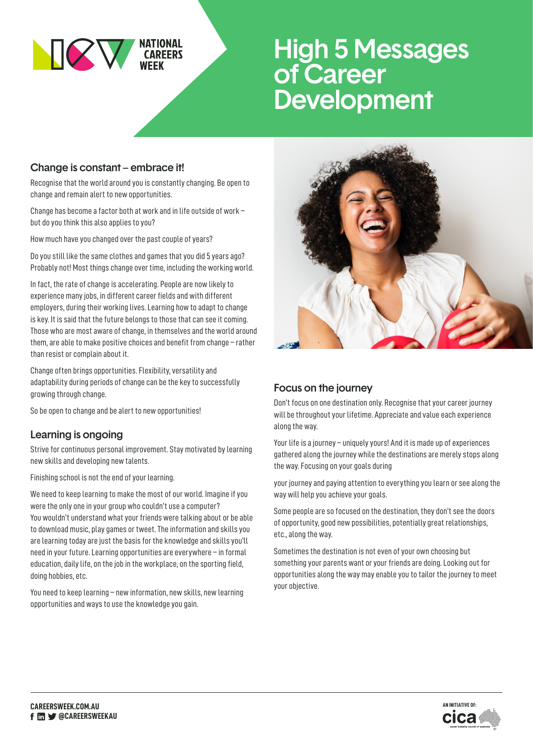

# High 5 Messages of Career **Development**

## Change is constant – embrace it!

Recognise that the world around you is constantly changing. Be open to change and remain alert to new opportunities.

Change has become a factor both at work and in life outside of work – but do you think this also applies to you?

How much have you changed over the past couple of years?

Do you still like the same clothes and games that you did 5 years ago? Probably not! Most things change over time, including the working world.

In fact, the rate of change is accelerating. People are now likely to experience many jobs, in different career fields and with different employers, during their working lives. Learning how to adapt to change is key. It is said that the future belongs to those that can see it coming. Those who are most aware of change, in themselves and the world around them, are able to make positive choices and benefit from change – rather than resist or complain about it.

Change often brings opportunities. Flexibility, versatility and adaptability during periods of change can be the key to successfully growing through change.

So be open to change and be alert to new opportunities!

### Learning is ongoing

Strive for continuous personal improvement. Stay motivated by learning new skills and developing new talents.

Finishing school is not the end of your learning.

We need to keep learning to make the most of our world. Imagine if you were the only one in your group who couldn't use a computer? You wouldn't understand what your friends were talking about or be able to download music, play games or tweet. The information and skills you are learning today are just the basis for the knowledge and skills you'll need in your future. Learning opportunities are everywhere – in formal education, daily life, on the job in the workplace, on the sporting field, doing hobbies, etc.

You need to keep learning – new information, new skills, new learning opportunities and ways to use the knowledge you gain.



### Focus on the journey

Don't focus on one destination only. Recognise that your career journey will be throughout your lifetime. Appreciate and value each experience along the way.

Your life is a journey – uniquely yours! And it is made up of experiences gathered along the journey while the destinations are merely stops along the way. Focusing on your goals during

your journey and paying attention to everything you learn or see along the way will help you achieve your goals.

Some people are so focused on the destination, they don't see the doors of opportunity, good new possibilities, potentially great relationships, etc., along the way.

Sometimes the destination is not even of your own choosing but something your parents want or your friends are doing. Looking out for opportunities along the way may enable you to tailor the journey to meet your objective.